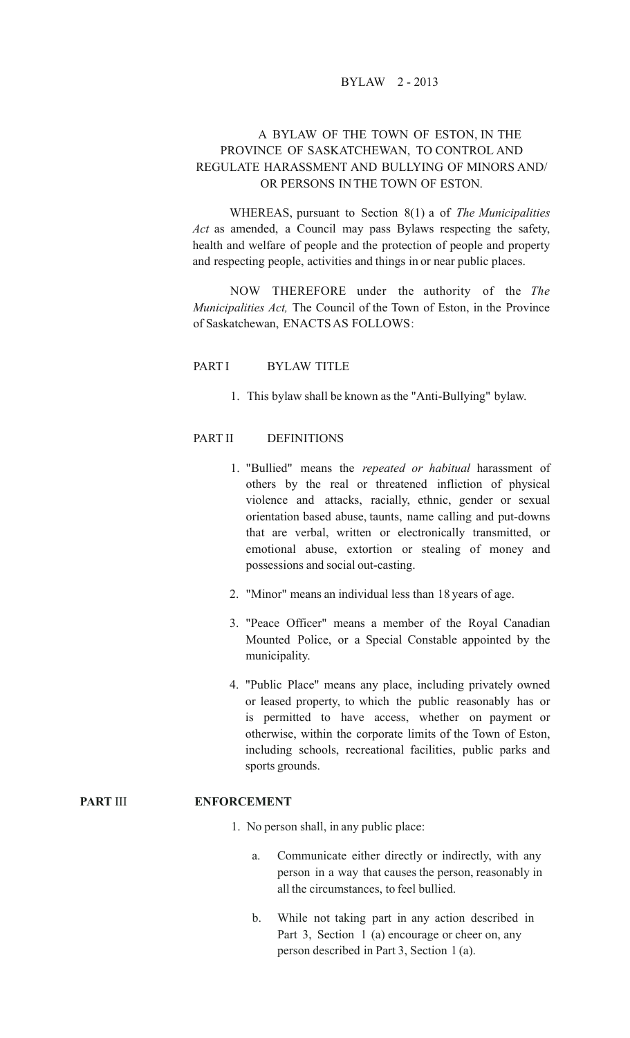## BYLAW 2 - 2013

## A BYLAW OF THE TOWN OF ESTON, IN THE PROVINCE OF SASKATCHEWAN, TO CONTROL AND REGULATE HARASSMENT AND BULLYING OF MINORS AND/ OR PERSONS IN THE TOWN OF ESTON.

WHEREAS, pursuant to Section 8(1) a of *The Municipalities Act* as amended, a Council may pass Bylaws respecting the safety, health and welfare of people and the protection of people and property and respecting people, activities and things in or near public places.

NOW THEREFORE under the authority of the *The Municipalities Act,* The Council of the Town of Eston, in the Province of Saskatchewan, ENACTSAS FOLLOWS:

#### PART I BYLAW TITLE

1. This bylaw shall be known asthe "Anti-Bullying" bylaw.

### PART II DEFINITIONS

- 1. "Bullied" means the *repeated or habitual* harassment of others by the real or threatened infliction of physical violence and attacks, racially, ethnic, gender or sexual orientation based abuse, taunts, name calling and put-downs that are verbal, written or electronically transmitted, or emotional abuse, extortion or stealing of money and possessions and social out-casting.
- 2. "Minor" means an individual less than 18 years of age.
- 3. "Peace Officer" means a member of the Royal Canadian Mounted Police, or a Special Constable appointed by the municipality.
- 4. "Public Place" means any place, including privately owned or leased property, to which the public reasonably has or is permitted to have access, whether on payment or otherwise, within the corporate limits of the Town of Eston, including schools, recreational facilities, public parks and sports grounds.

### **PART** III **ENFORCEMENT**

- 1. No person shall, in any public place:
	- a. Communicate either directly or indirectly, with any person in a way that causes the person, reasonably in all the circumstances, to feel bullied.
	- b. While not taking part in any action described in Part 3, Section 1 (a) encourage or cheer on, any person described in Part 3, Section 1 (a).